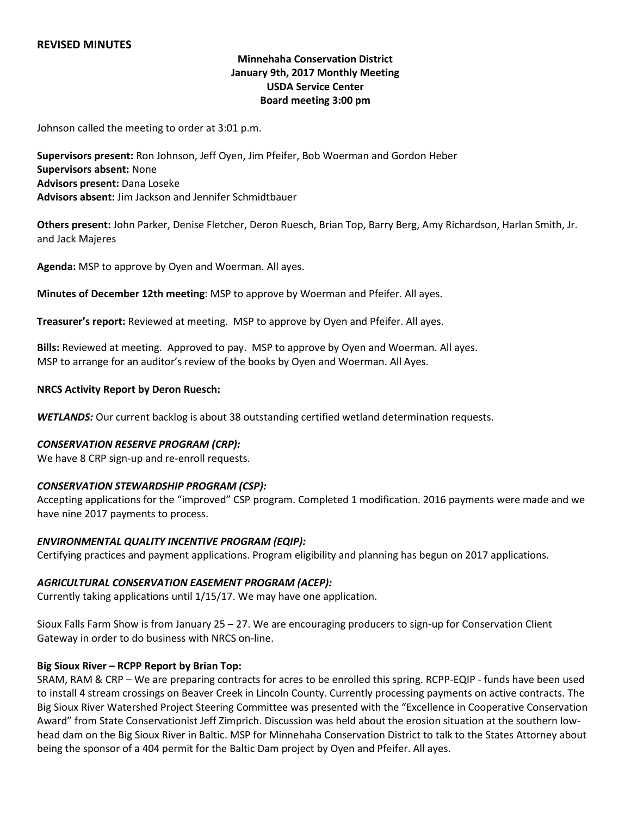## **REVISED MINUTES**

# **Minnehaha Conservation District January 9th, 2017 Monthly Meeting USDA Service Center Board meeting 3:00 pm**

Johnson called the meeting to order at 3:01 p.m.

**Supervisors present:** Ron Johnson, Jeff Oyen, Jim Pfeifer, Bob Woerman and Gordon Heber **Supervisors absent:** None **Advisors present:** Dana Loseke **Advisors absent:** Jim Jackson and Jennifer Schmidtbauer

**Others present:** John Parker, Denise Fletcher, Deron Ruesch, Brian Top, Barry Berg, Amy Richardson, Harlan Smith, Jr. and Jack Majeres

**Agenda:** MSP to approve by Oyen and Woerman. All ayes.

**Minutes of December 12th meeting**: MSP to approve by Woerman and Pfeifer. All ayes.

**Treasurer's report:** Reviewed at meeting. MSP to approve by Oyen and Pfeifer. All ayes.

**Bills:** Reviewed at meeting. Approved to pay. MSP to approve by Oyen and Woerman. All ayes. MSP to arrange for an auditor's review of the books by Oyen and Woerman. All Ayes.

#### **NRCS Activity Report by Deron Ruesch:**

*WETLANDS:* Our current backlog is about 38 outstanding certified wetland determination requests.

#### *CONSERVATION RESERVE PROGRAM (CRP):*

We have 8 CRP sign-up and re-enroll requests.

### *CONSERVATION STEWARDSHIP PROGRAM (CSP):*

Accepting applications for the "improved" CSP program. Completed 1 modification. 2016 payments were made and we have nine 2017 payments to process.

#### *ENVIRONMENTAL QUALITY INCENTIVE PROGRAM (EQIP):*

Certifying practices and payment applications. Program eligibility and planning has begun on 2017 applications.

### *AGRICULTURAL CONSERVATION EASEMENT PROGRAM (ACEP):*

Currently taking applications until 1/15/17. We may have one application.

Sioux Falls Farm Show is from January 25 – 27. We are encouraging producers to sign-up for Conservation Client Gateway in order to do business with NRCS on-line.

### **Big Sioux River – RCPP Report by Brian Top:**

SRAM, RAM & CRP – We are preparing contracts for acres to be enrolled this spring. RCPP-EQIP - funds have been used to install 4 stream crossings on Beaver Creek in Lincoln County. Currently processing payments on active contracts. The Big Sioux River Watershed Project Steering Committee was presented with the "Excellence in Cooperative Conservation Award" from State Conservationist Jeff Zimprich. Discussion was held about the erosion situation at the southern lowhead dam on the Big Sioux River in Baltic. MSP for Minnehaha Conservation District to talk to the States Attorney about being the sponsor of a 404 permit for the Baltic Dam project by Oyen and Pfeifer. All ayes.